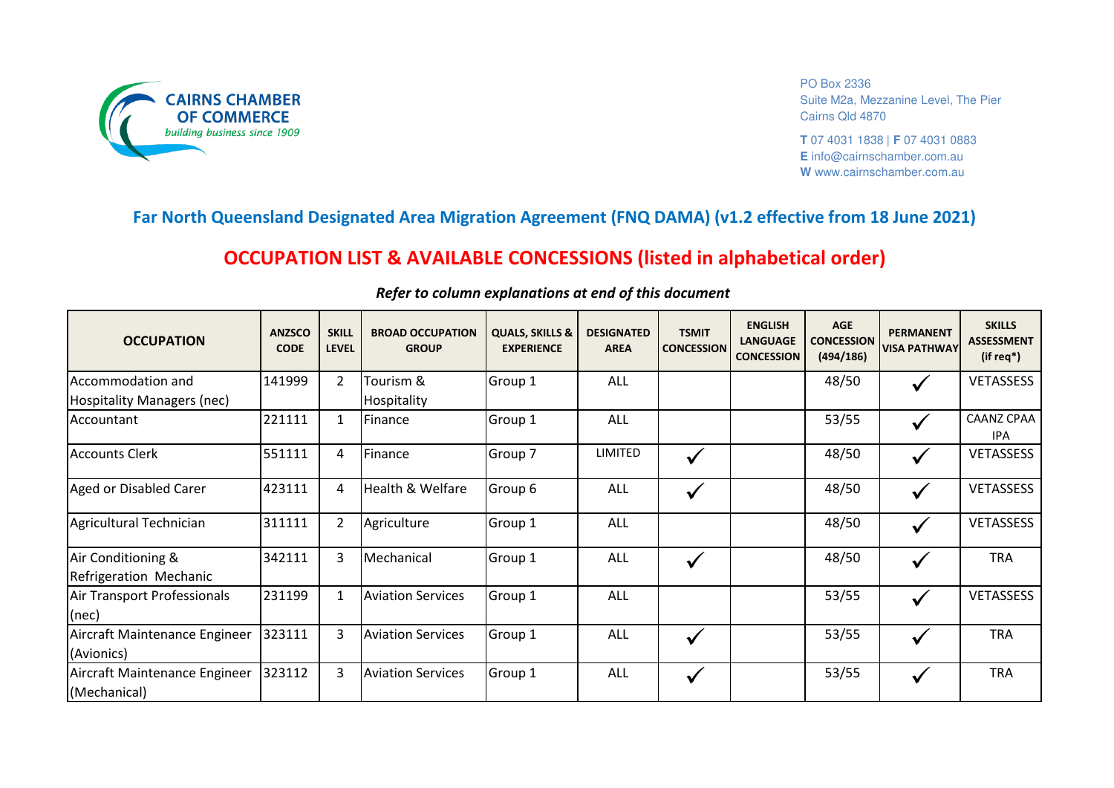

PO Box 2336 Suite M2a, Mezzanine Level, The Pier Cairns Qld 4870

**T** 07 4031 1838 | **F** 07 4031 0883 **E** info@cairnschamber.com.au **W** www.cairnschamber.com.au

## **Far North Queensland Designated Area Migration Agreement (FNQ DAMA) (v1.2 effective from 18 June 2021)**

## **OCCUPATION LIST & AVAILABLE CONCESSIONS (listed in alphabetical order)**

| <b>OCCUPATION</b>             | <b>ANZSCO</b><br><b>CODE</b> | <b>SKILL</b><br><b>LEVEL</b> | <b>BROAD OCCUPATION</b><br><b>GROUP</b> | <b>QUALS, SKILLS &amp;</b><br><b>EXPERIENCE</b> | <b>DESIGNATED</b><br><b>AREA</b> | <b>TSMIT</b><br><b>CONCESSION</b> | <b>ENGLISH</b><br><b>LANGUAGE</b><br><b>CONCESSION</b> | <b>AGE</b><br><b>CONCESSION</b><br>(494/186) | <b>PERMANENT</b><br><b>VISA PATHWAY</b> | <b>SKILLS</b><br><b>ASSESSMENT</b><br>$(ifreq*)$ |
|-------------------------------|------------------------------|------------------------------|-----------------------------------------|-------------------------------------------------|----------------------------------|-----------------------------------|--------------------------------------------------------|----------------------------------------------|-----------------------------------------|--------------------------------------------------|
| Accommodation and             | 141999                       | $\overline{2}$               | Tourism &                               | Group 1                                         | <b>ALL</b>                       |                                   |                                                        | 48/50                                        |                                         | <b>VETASSESS</b>                                 |
| Hospitality Managers (nec)    |                              |                              | Hospitality                             |                                                 |                                  |                                   |                                                        |                                              |                                         |                                                  |
| Accountant                    | 221111                       |                              | Finance                                 | Group 1                                         | ALL                              |                                   |                                                        | 53/55                                        |                                         | <b>CAANZ CPAA</b><br><b>IPA</b>                  |
| <b>Accounts Clerk</b>         | 551111                       | 4                            | Finance                                 | Group 7                                         | <b>LIMITED</b>                   | $\checkmark$                      |                                                        | 48/50                                        |                                         | <b>VETASSESS</b>                                 |
| Aged or Disabled Carer        | 423111                       | 4                            | Health & Welfare                        | Group 6                                         | <b>ALL</b>                       | $\checkmark$                      |                                                        | 48/50                                        |                                         | <b>VETASSESS</b>                                 |
| Agricultural Technician       | 311111                       | $\overline{2}$               | Agriculture                             | Group 1                                         | ALL                              |                                   |                                                        | 48/50                                        |                                         | <b>VETASSESS</b>                                 |
| Air Conditioning &            | 342111                       | 3                            | Mechanical                              | Group 1                                         | ALL                              | $\checkmark$                      |                                                        | 48/50                                        |                                         | <b>TRA</b>                                       |
| Refrigeration Mechanic        |                              |                              |                                         |                                                 |                                  |                                   |                                                        |                                              |                                         |                                                  |
| Air Transport Professionals   | 231199                       | $\mathbf{1}$                 | <b>Aviation Services</b>                | Group 1                                         | <b>ALL</b>                       |                                   |                                                        | 53/55                                        |                                         | <b>VETASSESS</b>                                 |
| (nec)                         |                              |                              |                                         |                                                 |                                  |                                   |                                                        |                                              |                                         |                                                  |
| Aircraft Maintenance Engineer | 323111                       | 3                            | <b>Aviation Services</b>                | Group 1                                         | ALL.                             | $\checkmark$                      |                                                        | 53/55                                        |                                         | <b>TRA</b>                                       |
| (Avionics)                    |                              |                              |                                         |                                                 |                                  |                                   |                                                        |                                              |                                         |                                                  |
| Aircraft Maintenance Engineer | 323112                       | 3                            | <b>Aviation Services</b>                | Group 1                                         | ALL                              | $\checkmark$                      |                                                        | 53/55                                        |                                         | <b>TRA</b>                                       |
| (Mechanical)                  |                              |                              |                                         |                                                 |                                  |                                   |                                                        |                                              |                                         |                                                  |

## *Refer to column explanations at end of this document*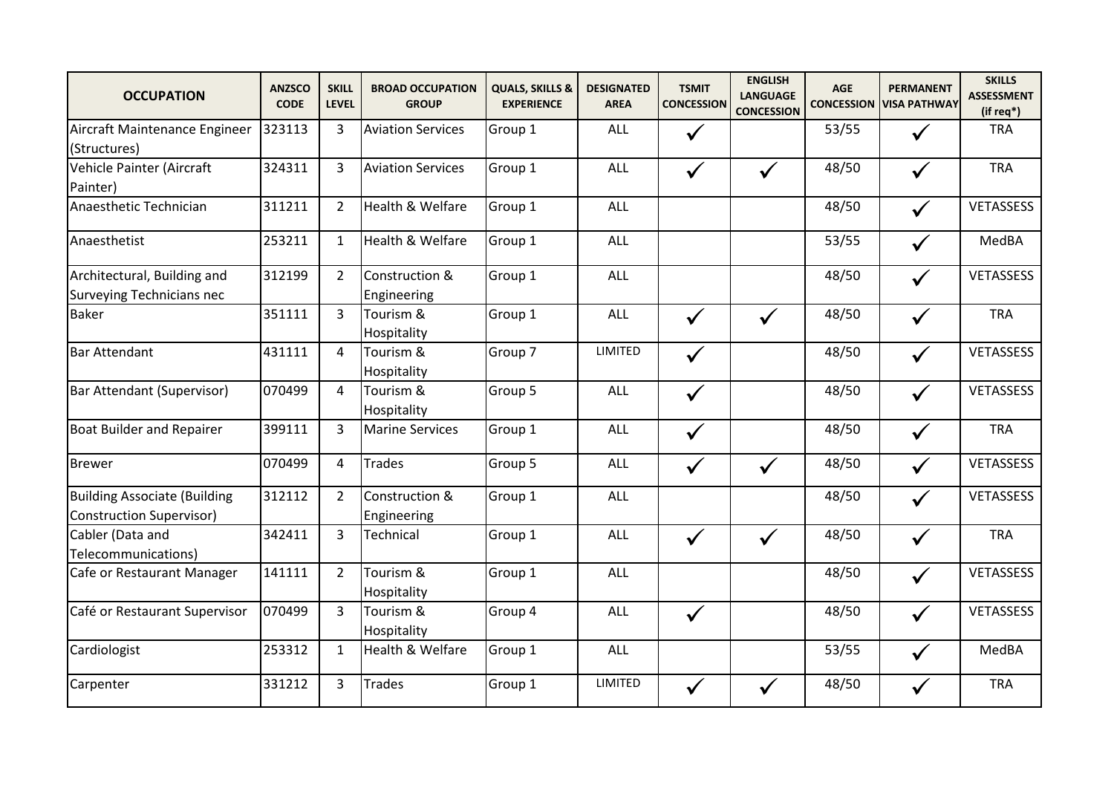| <b>OCCUPATION</b>                                                      | <b>ANZSCO</b><br><b>CODE</b> | <b>SKILL</b><br><b>LEVEL</b> | <b>BROAD OCCUPATION</b><br><b>GROUP</b> | <b>QUALS, SKILLS &amp;</b><br><b>EXPERIENCE</b> | <b>DESIGNATED</b><br><b>AREA</b> | <b>TSMIT</b><br><b>CONCESSION</b> | <b>ENGLISH</b><br><b>LANGUAGE</b><br><b>CONCESSION</b> | <b>AGE</b><br><b>CONCESSION</b> | <b>PERMANENT</b><br><b>VISA PATHWAY</b> | <b>SKILLS</b><br><b>ASSESSMENT</b><br>(if req*) |
|------------------------------------------------------------------------|------------------------------|------------------------------|-----------------------------------------|-------------------------------------------------|----------------------------------|-----------------------------------|--------------------------------------------------------|---------------------------------|-----------------------------------------|-------------------------------------------------|
| Aircraft Maintenance Engineer<br>(Structures)                          | 323113                       | 3                            | <b>Aviation Services</b>                | Group 1                                         | ALL                              | $\checkmark$                      |                                                        | 53/55                           | $\checkmark$                            | <b>TRA</b>                                      |
| Vehicle Painter (Aircraft<br>Painter)                                  | 324311                       | 3                            | <b>Aviation Services</b>                | Group 1                                         | <b>ALL</b>                       | $\checkmark$                      | $\checkmark$                                           | 48/50                           | $\checkmark$                            | <b>TRA</b>                                      |
| Anaesthetic Technician                                                 | 311211                       | $\overline{2}$               | Health & Welfare                        | Group 1                                         | <b>ALL</b>                       |                                   |                                                        | 48/50                           | $\checkmark$                            | <b>VETASSESS</b>                                |
| Anaesthetist                                                           | 253211                       | $\mathbf{1}$                 | Health & Welfare                        | Group 1                                         | ALL                              |                                   |                                                        | 53/55                           | $\checkmark$                            | MedBA                                           |
| Architectural, Building and<br><b>Surveying Technicians nec</b>        | 312199                       | $2^{\circ}$                  | Construction &<br>Engineering           | Group 1                                         | <b>ALL</b>                       |                                   |                                                        | 48/50                           | $\checkmark$                            | <b>VETASSESS</b>                                |
| <b>Baker</b>                                                           | 351111                       | 3                            | Tourism &<br>Hospitality                | Group 1                                         | ALL                              | $\checkmark$                      | $\checkmark$                                           | 48/50                           | $\checkmark$                            | <b>TRA</b>                                      |
| <b>Bar Attendant</b>                                                   | 431111                       | $\overline{4}$               | Tourism &<br>Hospitality                | Group 7                                         | <b>LIMITED</b>                   | $\checkmark$                      |                                                        | 48/50                           | $\checkmark$                            | VETASSESS                                       |
| Bar Attendant (Supervisor)                                             | 070499                       | 4                            | Tourism &<br>Hospitality                | Group 5                                         | ALL                              | $\checkmark$                      |                                                        | 48/50                           | $\checkmark$                            | VETASSESS                                       |
| <b>Boat Builder and Repairer</b>                                       | 399111                       | 3                            | <b>Marine Services</b>                  | Group 1                                         | ALL                              | $\checkmark$                      |                                                        | 48/50                           | $\checkmark$                            | <b>TRA</b>                                      |
| <b>Brewer</b>                                                          | 070499                       | 4                            | <b>Trades</b>                           | Group 5                                         | <b>ALL</b>                       | $\checkmark$                      | $\checkmark$                                           | 48/50                           | $\checkmark$                            | VETASSESS                                       |
| <b>Building Associate (Building</b><br><b>Construction Supervisor)</b> | 312112                       | $2^{\circ}$                  | Construction &<br>Engineering           | Group 1                                         | <b>ALL</b>                       |                                   |                                                        | 48/50                           | $\checkmark$                            | VETASSESS                                       |
| Cabler (Data and<br>Telecommunications)                                | 342411                       | $\overline{3}$               | Technical                               | Group 1                                         | <b>ALL</b>                       | $\checkmark$                      | $\checkmark$                                           | 48/50                           | $\checkmark$                            | <b>TRA</b>                                      |
| Cafe or Restaurant Manager                                             | 141111                       | $2^{\circ}$                  | Tourism &<br>Hospitality                | Group 1                                         | <b>ALL</b>                       |                                   |                                                        | 48/50                           | $\checkmark$                            | VETASSESS                                       |
| Café or Restaurant Supervisor                                          | 070499                       | $\overline{3}$               | Tourism &<br>Hospitality                | Group 4                                         | <b>ALL</b>                       | $\checkmark$                      |                                                        | 48/50                           | $\checkmark$                            | <b>VETASSESS</b>                                |
| Cardiologist                                                           | 253312                       | $\mathbf{1}$                 | Health & Welfare                        | Group 1                                         | ALL                              |                                   |                                                        | 53/55                           | $\checkmark$                            | MedBA                                           |
| Carpenter                                                              | 331212                       | 3                            | <b>Trades</b>                           | Group 1                                         | LIMITED                          | $\checkmark$                      |                                                        | 48/50                           |                                         | <b>TRA</b>                                      |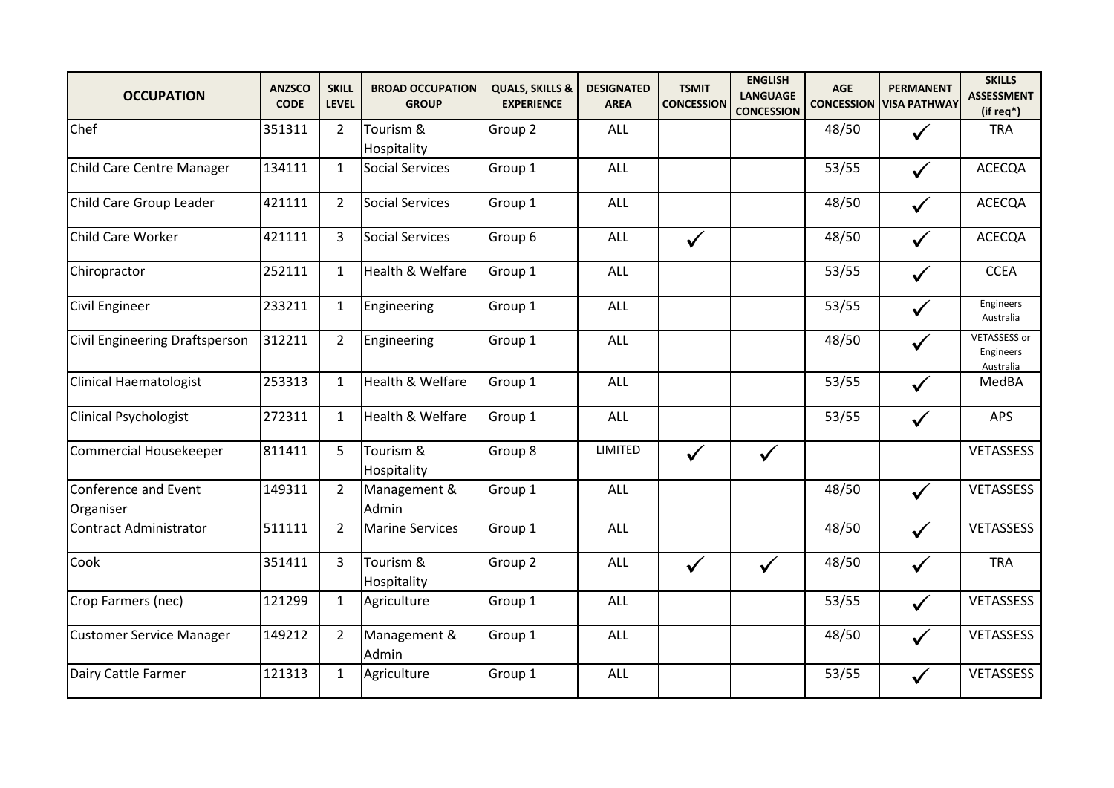| <b>OCCUPATION</b>                 | <b>ANZSCO</b><br><b>CODE</b> | <b>SKILL</b><br><b>LEVEL</b> | <b>BROAD OCCUPATION</b><br><b>GROUP</b> | <b>QUALS, SKILLS &amp;</b><br><b>EXPERIENCE</b> | <b>DESIGNATED</b><br><b>AREA</b> | <b>TSMIT</b><br><b>CONCESSION</b> | <b>ENGLISH</b><br><b>LANGUAGE</b><br><b>CONCESSION</b> | <b>AGE</b><br><b>CONCESSION</b> | <b>PERMANENT</b><br><b>VISA PATHWAY</b> | <b>SKILLS</b><br><b>ASSESSMENT</b><br>(if req*) |
|-----------------------------------|------------------------------|------------------------------|-----------------------------------------|-------------------------------------------------|----------------------------------|-----------------------------------|--------------------------------------------------------|---------------------------------|-----------------------------------------|-------------------------------------------------|
| Chef                              | 351311                       | $\overline{2}$               | Tourism &<br>Hospitality                | Group 2                                         | <b>ALL</b>                       |                                   |                                                        | 48/50                           | $\checkmark$                            | <b>TRA</b>                                      |
| Child Care Centre Manager         | 134111                       | $\mathbf{1}$                 | <b>Social Services</b>                  | Group 1                                         | <b>ALL</b>                       |                                   |                                                        | 53/55                           | $\checkmark$                            | <b>ACECQA</b>                                   |
| Child Care Group Leader           | 421111                       | $\overline{2}$               | <b>Social Services</b>                  | Group 1                                         | ALL                              |                                   |                                                        | 48/50                           | $\checkmark$                            | <b>ACECQA</b>                                   |
| Child Care Worker                 | 421111                       | $\overline{3}$               | <b>Social Services</b>                  | Group 6                                         | <b>ALL</b>                       | $\checkmark$                      |                                                        | 48/50                           | $\checkmark$                            | <b>ACECQA</b>                                   |
| Chiropractor                      | 252111                       | $\mathbf{1}$                 | Health & Welfare                        | Group 1                                         | ALL                              |                                   |                                                        | 53/55                           | $\checkmark$                            | <b>CCEA</b>                                     |
| <b>Civil Engineer</b>             | 233211                       | $\mathbf{1}$                 | Engineering                             | Group 1                                         | <b>ALL</b>                       |                                   |                                                        | 53/55                           | $\checkmark$                            | Engineers<br>Australia                          |
| Civil Engineering Draftsperson    | 312211                       | $\overline{2}$               | Engineering                             | Group 1                                         | ALL                              |                                   |                                                        | 48/50                           | ✓                                       | <b>VETASSESS or</b><br>Engineers<br>Australia   |
| <b>Clinical Haematologist</b>     | 253313                       | $\mathbf{1}$                 | Health & Welfare                        | Group 1                                         | ALL                              |                                   |                                                        | 53/55                           | $\checkmark$                            | MedBA                                           |
| <b>Clinical Psychologist</b>      | 272311                       | $\mathbf{1}$                 | Health & Welfare                        | Group 1                                         | ALL                              |                                   |                                                        | 53/55                           |                                         | <b>APS</b>                                      |
| <b>Commercial Housekeeper</b>     | 811411                       | 5                            | Tourism &<br>Hospitality                | Group 8                                         | <b>LIMITED</b>                   | $\checkmark$                      | $\checkmark$                                           |                                 |                                         | VETASSESS                                       |
| Conference and Event<br>Organiser | 149311                       | $\overline{2}$               | Management &<br>Admin                   | Group 1                                         | ALL                              |                                   |                                                        | 48/50                           | $\checkmark$                            | <b>VETASSESS</b>                                |
| Contract Administrator            | 511111                       | $\overline{2}$               | <b>Marine Services</b>                  | Group 1                                         | <b>ALL</b>                       |                                   |                                                        | 48/50                           | $\checkmark$                            | <b>VETASSESS</b>                                |
| Cook                              | 351411                       | $\overline{3}$               | Tourism &<br>Hospitality                | Group 2                                         | ALL                              | $\checkmark$                      | $\checkmark$                                           | 48/50                           | $\checkmark$                            | <b>TRA</b>                                      |
| Crop Farmers (nec)                | 121299                       | $\mathbf{1}$                 | Agriculture                             | Group 1                                         | ALL                              |                                   |                                                        | 53/55                           | $\checkmark$                            | VETASSESS                                       |
| <b>Customer Service Manager</b>   | 149212                       | $\overline{2}$               | Management &<br>Admin                   | Group 1                                         | <b>ALL</b>                       |                                   |                                                        | 48/50                           | $\checkmark$                            | VETASSESS                                       |
| Dairy Cattle Farmer               | 121313                       | $\mathbf{1}$                 | Agriculture                             | Group 1                                         | <b>ALL</b>                       |                                   |                                                        | 53/55                           | $\checkmark$                            | <b>VETASSESS</b>                                |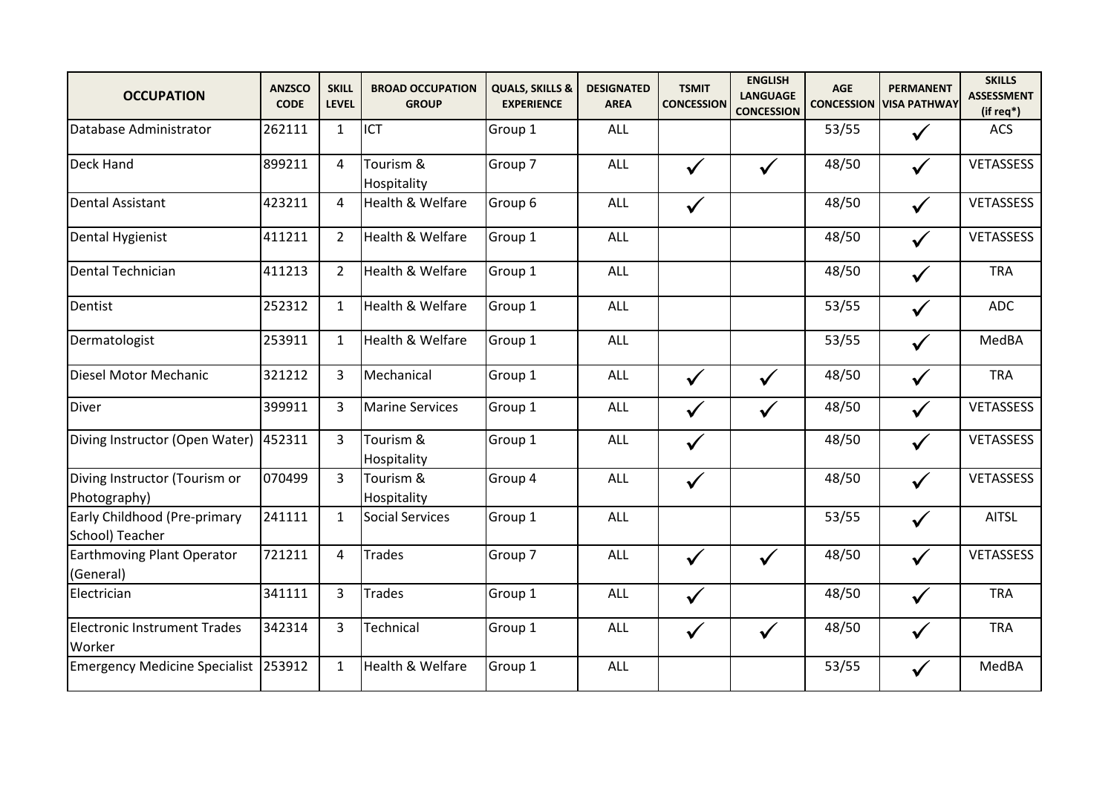| <b>OCCUPATION</b>                               | <b>ANZSCO</b><br><b>CODE</b> | <b>SKILL</b><br><b>LEVEL</b> | <b>BROAD OCCUPATION</b><br><b>GROUP</b> | <b>QUALS, SKILLS &amp;</b><br><b>EXPERIENCE</b> | <b>DESIGNATED</b><br><b>AREA</b> | <b>TSMIT</b><br><b>CONCESSION</b> | <b>ENGLISH</b><br><b>LANGUAGE</b><br><b>CONCESSION</b> | <b>AGE</b><br><b>CONCESSION</b> | <b>PERMANENT</b><br><b>VISA PATHWAY</b> | <b>SKILLS</b><br><b>ASSESSMENT</b><br>(if req*) |
|-------------------------------------------------|------------------------------|------------------------------|-----------------------------------------|-------------------------------------------------|----------------------------------|-----------------------------------|--------------------------------------------------------|---------------------------------|-----------------------------------------|-------------------------------------------------|
| Database Administrator                          | 262111                       | $\mathbf{1}$                 | <b>ICT</b>                              | Group 1                                         | <b>ALL</b>                       |                                   |                                                        | 53/55                           | $\checkmark$                            | <b>ACS</b>                                      |
| Deck Hand                                       | 899211                       | 4                            | Tourism &<br>Hospitality                | Group 7                                         | ALL                              | $\checkmark$                      | $\checkmark$                                           | 48/50                           | $\checkmark$                            | VETASSESS                                       |
| <b>Dental Assistant</b>                         | 423211                       | 4                            | Health & Welfare                        | Group 6                                         | <b>ALL</b>                       | $\checkmark$                      |                                                        | 48/50                           | $\checkmark$                            | <b>VETASSESS</b>                                |
| Dental Hygienist                                | 411211                       | $\overline{2}$               | Health & Welfare                        | Group 1                                         | ALL                              |                                   |                                                        | 48/50                           | $\checkmark$                            | <b>VETASSESS</b>                                |
| Dental Technician                               | 411213                       | $\overline{2}$               | Health & Welfare                        | Group 1                                         | ALL                              |                                   |                                                        | 48/50                           | $\checkmark$                            | <b>TRA</b>                                      |
| Dentist                                         | 252312                       | $\mathbf{1}$                 | Health & Welfare                        | Group 1                                         | <b>ALL</b>                       |                                   |                                                        | 53/55                           | $\checkmark$                            | <b>ADC</b>                                      |
| Dermatologist                                   | 253911                       | $\mathbf{1}$                 | Health & Welfare                        | Group 1                                         | <b>ALL</b>                       |                                   |                                                        | 53/55                           | $\checkmark$                            | MedBA                                           |
| Diesel Motor Mechanic                           | 321212                       | 3                            | Mechanical                              | Group 1                                         | ALL                              | $\checkmark$                      | $\checkmark$                                           | 48/50                           | $\checkmark$                            | <b>TRA</b>                                      |
| <b>Diver</b>                                    | 399911                       | 3                            | <b>Marine Services</b>                  | Group 1                                         | ALL                              | ✓                                 | $\checkmark$                                           | 48/50                           | $\checkmark$                            | VETASSESS                                       |
| Diving Instructor (Open Water)                  | 452311                       | 3                            | Tourism &<br>Hospitality                | Group 1                                         | ALL                              | $\checkmark$                      |                                                        | 48/50                           | $\checkmark$                            | <b>VETASSESS</b>                                |
| Diving Instructor (Tourism or<br>Photography)   | 070499                       | $\overline{3}$               | Tourism &<br>Hospitality                | Group 4                                         | ALL                              | $\checkmark$                      |                                                        | 48/50                           | $\checkmark$                            | VETASSESS                                       |
| Early Childhood (Pre-primary<br>School) Teacher | 241111                       | $\mathbf{1}$                 | <b>Social Services</b>                  | Group 1                                         | ALL                              |                                   |                                                        | 53/55                           | $\checkmark$                            | <b>AITSL</b>                                    |
| <b>Earthmoving Plant Operator</b><br>(General)  | 721211                       | 4                            | <b>Trades</b>                           | Group 7                                         | ALL                              | $\checkmark$                      | $\checkmark$                                           | 48/50                           | $\checkmark$                            | <b>VETASSESS</b>                                |
| Electrician                                     | 341111                       | $\overline{3}$               | <b>Trades</b>                           | Group 1                                         | ALL                              | $\checkmark$                      |                                                        | 48/50                           | $\checkmark$                            | <b>TRA</b>                                      |
| <b>Electronic Instrument Trades</b><br>Worker   | 342314                       | 3                            | Technical                               | Group 1                                         | ALL                              | $\checkmark$                      | $\checkmark$                                           | 48/50                           | $\checkmark$                            | <b>TRA</b>                                      |
| Emergency Medicine Specialist 253912            |                              | $\mathbf{1}$                 | Health & Welfare                        | Group 1                                         | ALL                              |                                   |                                                        | 53/55                           | $\checkmark$                            | MedBA                                           |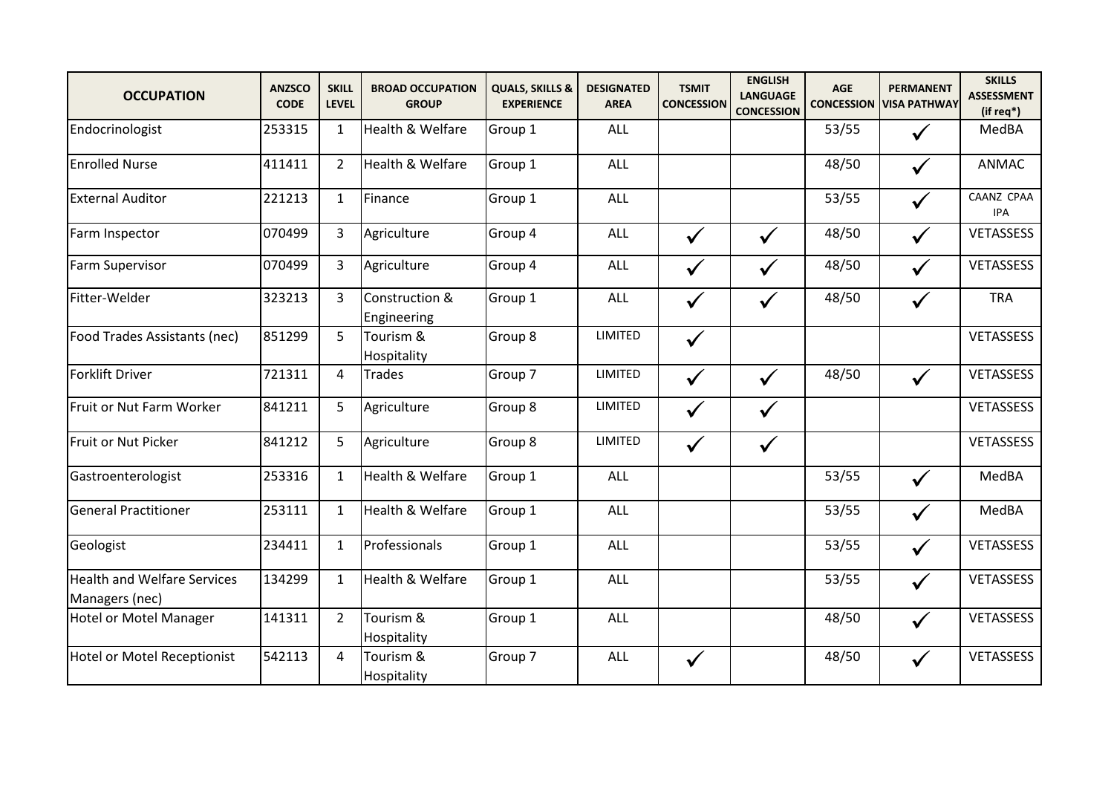| <b>OCCUPATION</b>                                    | <b>ANZSCO</b><br><b>CODE</b> | <b>SKILL</b><br><b>LEVEL</b> | <b>BROAD OCCUPATION</b><br><b>GROUP</b> | <b>QUALS, SKILLS &amp;</b><br><b>EXPERIENCE</b> | <b>DESIGNATED</b><br><b>AREA</b> | <b>TSMIT</b><br><b>CONCESSION</b> | <b>ENGLISH</b><br><b>LANGUAGE</b><br><b>CONCESSION</b> | <b>AGE</b><br><b>CONCESSION</b> | <b>PERMANENT</b><br><b>VISA PATHWAY</b> | <b>SKILLS</b><br><b>ASSESSMENT</b><br>(if req*) |
|------------------------------------------------------|------------------------------|------------------------------|-----------------------------------------|-------------------------------------------------|----------------------------------|-----------------------------------|--------------------------------------------------------|---------------------------------|-----------------------------------------|-------------------------------------------------|
| Endocrinologist                                      | 253315                       | $\mathbf{1}$                 | Health & Welfare                        | Group 1                                         | ALL                              |                                   |                                                        | 53/55                           |                                         | MedBA                                           |
| <b>Enrolled Nurse</b>                                | 411411                       | $\overline{2}$               | Health & Welfare                        | Group 1                                         | <b>ALL</b>                       |                                   |                                                        | 48/50                           | $\checkmark$                            | <b>ANMAC</b>                                    |
| <b>External Auditor</b>                              | 221213                       | $\mathbf{1}$                 | Finance                                 | Group 1                                         | ALL                              |                                   |                                                        | 53/55                           | $\checkmark$                            | CAANZ CPAA<br><b>IPA</b>                        |
| Farm Inspector                                       | 070499                       | $\overline{3}$               | Agriculture                             | Group 4                                         | ALL                              | $\checkmark$                      | $\checkmark$                                           | 48/50                           | $\checkmark$                            | <b>VETASSESS</b>                                |
| <b>Farm Supervisor</b>                               | 070499                       | $\overline{3}$               | Agriculture                             | Group 4                                         | ALL                              | $\checkmark$                      | $\checkmark$                                           | 48/50                           | $\checkmark$                            | <b>VETASSESS</b>                                |
| Fitter-Welder                                        | 323213                       | 3                            | Construction &<br>Engineering           | Group 1                                         | ALL                              | $\checkmark$                      | $\checkmark$                                           | 48/50                           | $\checkmark$                            | <b>TRA</b>                                      |
| Food Trades Assistants (nec)                         | 851299                       | 5                            | Tourism &<br>Hospitality                | Group 8                                         | <b>LIMITED</b>                   | $\checkmark$                      |                                                        |                                 |                                         | VETASSESS                                       |
| <b>Forklift Driver</b>                               | 721311                       | $\overline{4}$               | <b>Trades</b>                           | Group 7                                         | <b>LIMITED</b>                   | $\checkmark$                      | $\checkmark$                                           | 48/50                           | $\checkmark$                            | VETASSESS                                       |
| Fruit or Nut Farm Worker                             | 841211                       | 5                            | Agriculture                             | Group 8                                         | LIMITED                          | $\checkmark$                      | $\checkmark$                                           |                                 |                                         | VETASSESS                                       |
| Fruit or Nut Picker                                  | 841212                       | 5                            | Agriculture                             | Group 8                                         | <b>LIMITED</b>                   | $\checkmark$                      | $\checkmark$                                           |                                 |                                         | VETASSESS                                       |
| Gastroenterologist                                   | 253316                       | $\mathbf{1}$                 | Health & Welfare                        | Group 1                                         | <b>ALL</b>                       |                                   |                                                        | 53/55                           | $\checkmark$                            | MedBA                                           |
| <b>General Practitioner</b>                          | 253111                       | $\mathbf{1}$                 | Health & Welfare                        | Group 1                                         | ALL                              |                                   |                                                        | 53/55                           | $\checkmark$                            | MedBA                                           |
| Geologist                                            | 234411                       | $\mathbf{1}$                 | Professionals                           | Group 1                                         | ALL                              |                                   |                                                        | 53/55                           | $\checkmark$                            | VETASSESS                                       |
| <b>Health and Welfare Services</b><br>Managers (nec) | 134299                       | $\mathbf{1}$                 | Health & Welfare                        | Group 1                                         | ALL                              |                                   |                                                        | 53/55                           | $\checkmark$                            | VETASSESS                                       |
| <b>Hotel or Motel Manager</b>                        | 141311                       | $\overline{2}$               | Tourism &<br>Hospitality                | Group 1                                         | <b>ALL</b>                       |                                   |                                                        | 48/50                           | $\checkmark$                            | VETASSESS                                       |
| <b>Hotel or Motel Receptionist</b>                   | 542113                       | 4                            | Tourism &<br>Hospitality                | Group 7                                         | ALL                              | $\checkmark$                      |                                                        | 48/50                           | $\checkmark$                            | <b>VETASSESS</b>                                |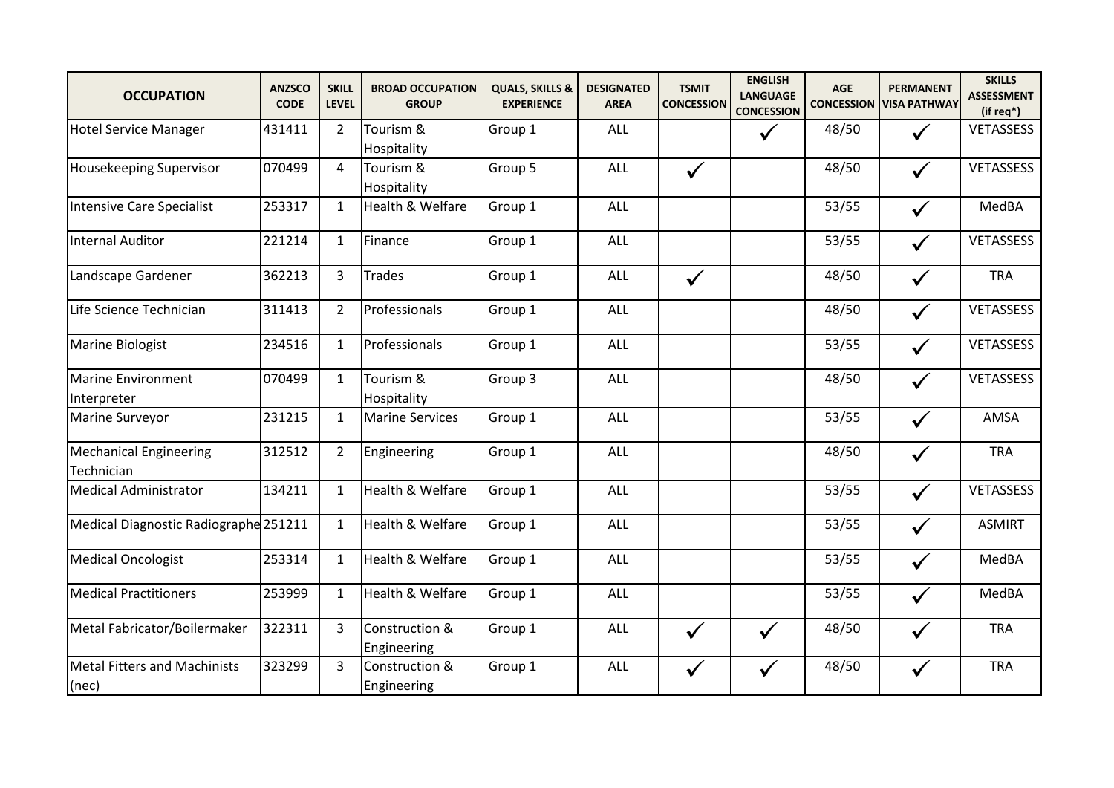| <b>OCCUPATION</b>                            | <b>ANZSCO</b><br><b>CODE</b> | <b>SKILL</b><br><b>LEVEL</b> | <b>BROAD OCCUPATION</b><br><b>GROUP</b> | <b>QUALS, SKILLS &amp;</b><br><b>EXPERIENCE</b> | <b>DESIGNATED</b><br><b>AREA</b> | <b>TSMIT</b><br><b>CONCESSION</b> | <b>ENGLISH</b><br><b>LANGUAGE</b><br><b>CONCESSION</b> | <b>AGE</b><br><b>CONCESSION</b> | <b>PERMANENT</b><br><b>VISA PATHWAY</b> | <b>SKILLS</b><br><b>ASSESSMENT</b><br>(if req*) |
|----------------------------------------------|------------------------------|------------------------------|-----------------------------------------|-------------------------------------------------|----------------------------------|-----------------------------------|--------------------------------------------------------|---------------------------------|-----------------------------------------|-------------------------------------------------|
| <b>Hotel Service Manager</b>                 | 431411                       | $\overline{2}$               | Tourism &<br>Hospitality                | Group 1                                         | ALL                              |                                   | $\checkmark$                                           | 48/50                           | $\checkmark$                            | VETASSESS                                       |
| Housekeeping Supervisor                      | 070499                       | 4                            | Tourism &<br>Hospitality                | Group 5                                         | <b>ALL</b>                       | $\checkmark$                      |                                                        | 48/50                           | $\checkmark$                            | <b>VETASSESS</b>                                |
| Intensive Care Specialist                    | 253317                       | $\mathbf{1}$                 | Health & Welfare                        | Group 1                                         | ALL                              |                                   |                                                        | 53/55                           | $\checkmark$                            | MedBA                                           |
| <b>Internal Auditor</b>                      | 221214                       | $\mathbf{1}$                 | Finance                                 | Group 1                                         | <b>ALL</b>                       |                                   |                                                        | 53/55                           | $\checkmark$                            | <b>VETASSESS</b>                                |
| Landscape Gardener                           | 362213                       | 3                            | <b>Trades</b>                           | Group 1                                         | ALL                              | $\checkmark$                      |                                                        | 48/50                           | $\checkmark$                            | <b>TRA</b>                                      |
| Life Science Technician                      | 311413                       | $\overline{2}$               | Professionals                           | Group 1                                         | <b>ALL</b>                       |                                   |                                                        | 48/50                           | $\checkmark$                            | VETASSESS                                       |
| Marine Biologist                             | 234516                       | $\mathbf{1}$                 | Professionals                           | Group 1                                         | ALL                              |                                   |                                                        | 53/55                           | $\checkmark$                            | VETASSESS                                       |
| <b>Marine Environment</b><br>Interpreter     | 070499                       | $\mathbf{1}$                 | Tourism &<br>Hospitality                | Group 3                                         | <b>ALL</b>                       |                                   |                                                        | 48/50                           | $\checkmark$                            | <b>VETASSESS</b>                                |
| Marine Surveyor                              | 231215                       | $\mathbf{1}$                 | <b>Marine Services</b>                  | Group 1                                         | ALL                              |                                   |                                                        | 53/55                           | $\checkmark$                            | AMSA                                            |
| <b>Mechanical Engineering</b><br>Technician  | 312512                       | $\overline{2}$               | Engineering                             | Group 1                                         | <b>ALL</b>                       |                                   |                                                        | 48/50                           | $\checkmark$                            | <b>TRA</b>                                      |
| <b>Medical Administrator</b>                 | 134211                       | $\mathbf{1}$                 | Health & Welfare                        | Group 1                                         | ALL                              |                                   |                                                        | 53/55                           | $\checkmark$                            | VETASSESS                                       |
| Medical Diagnostic Radiographe 251211        |                              | $\mathbf{1}$                 | Health & Welfare                        | Group 1                                         | <b>ALL</b>                       |                                   |                                                        | 53/55                           | $\checkmark$                            | <b>ASMIRT</b>                                   |
| <b>Medical Oncologist</b>                    | 253314                       | $\mathbf{1}$                 | Health & Welfare                        | Group 1                                         | ALL                              |                                   |                                                        | 53/55                           | $\checkmark$                            | MedBA                                           |
| <b>Medical Practitioners</b>                 | 253999                       | $\mathbf{1}$                 | Health & Welfare                        | Group 1                                         | <b>ALL</b>                       |                                   |                                                        | 53/55                           | $\checkmark$                            | MedBA                                           |
| Metal Fabricator/Boilermaker                 | 322311                       | $\overline{3}$               | Construction &<br>Engineering           | Group 1                                         | ALL                              | $\checkmark$                      | $\checkmark$                                           | 48/50                           | $\checkmark$                            | <b>TRA</b>                                      |
| <b>Metal Fitters and Machinists</b><br>(nec) | 323299                       | 3                            | Construction &<br>Engineering           | Group 1                                         | ALL                              | $\checkmark$                      | $\checkmark$                                           | 48/50                           | $\checkmark$                            | <b>TRA</b>                                      |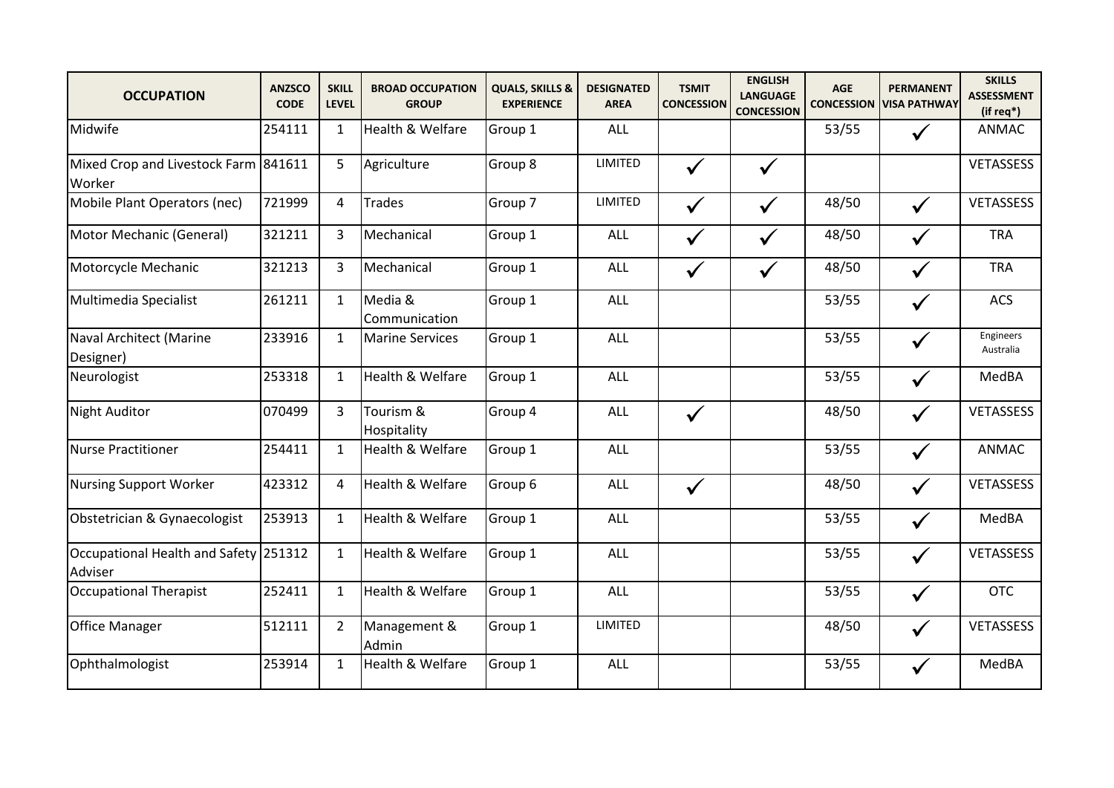| <b>OCCUPATION</b>                                | <b>ANZSCO</b><br><b>CODE</b> | <b>SKILL</b><br><b>LEVEL</b> | <b>BROAD OCCUPATION</b><br><b>GROUP</b> | <b>QUALS, SKILLS &amp;</b><br><b>EXPERIENCE</b> | <b>DESIGNATED</b><br><b>AREA</b> | <b>TSMIT</b><br><b>CONCESSION</b> | <b>ENGLISH</b><br><b>LANGUAGE</b><br><b>CONCESSION</b> | <b>AGE</b><br><b>CONCESSION</b> | <b>PERMANENT</b><br><b>VISA PATHWAY</b> | <b>SKILLS</b><br><b>ASSESSMENT</b><br>$(ifreq*)$ |
|--------------------------------------------------|------------------------------|------------------------------|-----------------------------------------|-------------------------------------------------|----------------------------------|-----------------------------------|--------------------------------------------------------|---------------------------------|-----------------------------------------|--------------------------------------------------|
| Midwife                                          | 254111                       | $\mathbf{1}$                 | Health & Welfare                        | Group 1                                         | <b>ALL</b>                       |                                   |                                                        | 53/55                           | $\checkmark$                            | ANMAC                                            |
| Mixed Crop and Livestock Farm 841611<br>Worker   |                              | 5                            | Agriculture                             | Group 8                                         | LIMITED                          | $\checkmark$                      | $\checkmark$                                           |                                 |                                         | VETASSESS                                        |
| Mobile Plant Operators (nec)                     | 721999                       | 4                            | <b>Trades</b>                           | Group 7                                         | LIMITED                          | $\checkmark$                      | $\checkmark$                                           | 48/50                           | $\checkmark$                            | VETASSESS                                        |
| Motor Mechanic (General)                         | 321211                       | 3                            | Mechanical                              | Group 1                                         | <b>ALL</b>                       | $\checkmark$                      | $\checkmark$                                           | 48/50                           | $\checkmark$                            | <b>TRA</b>                                       |
| Motorcycle Mechanic                              | 321213                       | 3                            | Mechanical                              | Group 1                                         | ALL                              | $\checkmark$                      | $\checkmark$                                           | 48/50                           | $\checkmark$                            | <b>TRA</b>                                       |
| Multimedia Specialist                            | 261211                       | $\mathbf{1}$                 | Media &<br>Communication                | Group 1                                         | ALL                              |                                   |                                                        | 53/55                           | $\checkmark$                            | ACS                                              |
| Naval Architect (Marine<br>Designer)             | 233916                       | $\mathbf{1}$                 | <b>Marine Services</b>                  | Group 1                                         | ALL                              |                                   |                                                        | 53/55                           | $\checkmark$                            | Engineers<br>Australia                           |
| Neurologist                                      | 253318                       | $\mathbf{1}$                 | Health & Welfare                        | Group 1                                         | ALL                              |                                   |                                                        | 53/55                           | $\checkmark$                            | MedBA                                            |
| <b>Night Auditor</b>                             | 070499                       | $\overline{3}$               | Tourism &<br>Hospitality                | Group 4                                         | ALL                              | $\checkmark$                      |                                                        | 48/50                           | $\checkmark$                            | VETASSESS                                        |
| <b>Nurse Practitioner</b>                        | 254411                       | $\mathbf{1}$                 | Health & Welfare                        | Group 1                                         | ALL                              |                                   |                                                        | 53/55                           | $\checkmark$                            | <b>ANMAC</b>                                     |
| <b>Nursing Support Worker</b>                    | 423312                       | 4                            | Health & Welfare                        | Group 6                                         | <b>ALL</b>                       | $\checkmark$                      |                                                        | 48/50                           | $\checkmark$                            | VETASSESS                                        |
| Obstetrician & Gynaecologist                     | 253913                       | $\mathbf{1}$                 | Health & Welfare                        | Group 1                                         | ALL                              |                                   |                                                        | 53/55                           | $\checkmark$                            | MedBA                                            |
| Occupational Health and Safety 251312<br>Adviser |                              | $\mathbf{1}$                 | Health & Welfare                        | Group 1                                         | ALL                              |                                   |                                                        | 53/55                           | $\checkmark$                            | <b>VETASSESS</b>                                 |
| <b>Occupational Therapist</b>                    | 252411                       | $\mathbf{1}$                 | Health & Welfare                        | Group 1                                         | <b>ALL</b>                       |                                   |                                                        | 53/55                           | $\checkmark$                            | <b>OTC</b>                                       |
| <b>Office Manager</b>                            | 512111                       | $\overline{2}$               | Management &<br>Admin                   | Group 1                                         | LIMITED                          |                                   |                                                        | 48/50                           | $\checkmark$                            | VETASSESS                                        |
| Ophthalmologist                                  | 253914                       | $\mathbf{1}$                 | Health & Welfare                        | Group 1                                         | ALL                              |                                   |                                                        | 53/55                           | $\checkmark$                            | MedBA                                            |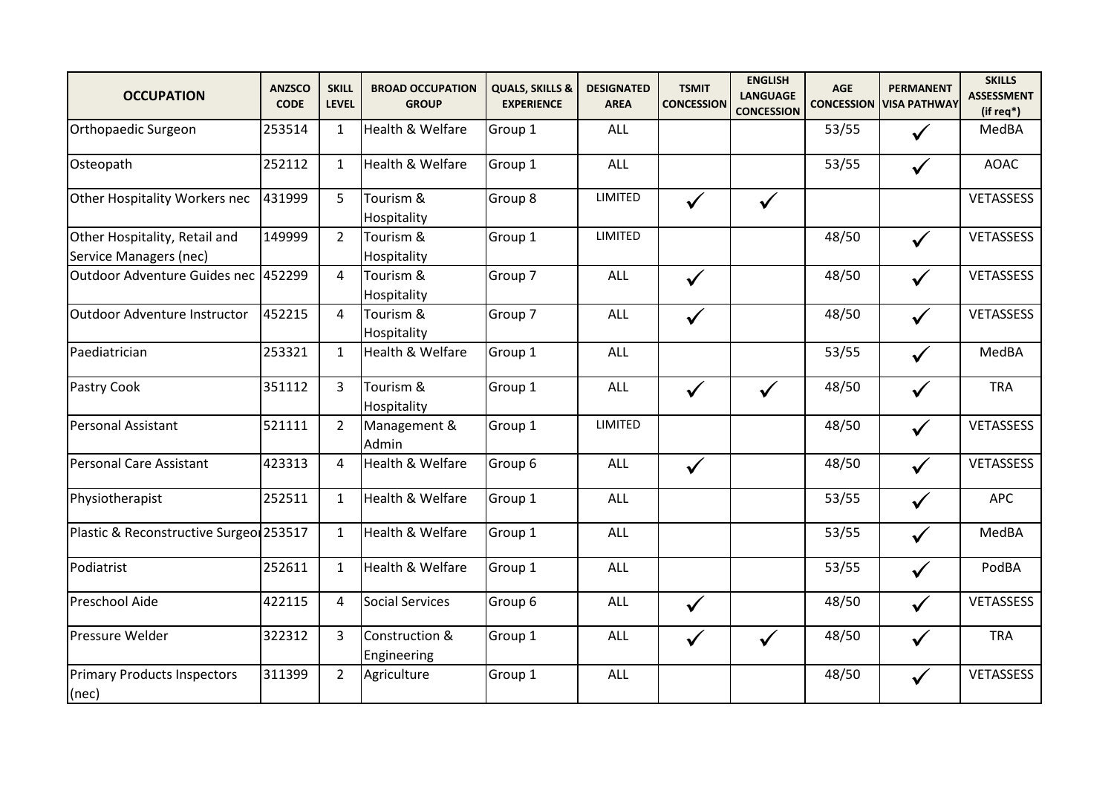| <b>OCCUPATION</b>                                       | <b>ANZSCO</b><br><b>CODE</b> | <b>SKILL</b><br><b>LEVEL</b> | <b>BROAD OCCUPATION</b><br><b>GROUP</b> | <b>QUALS, SKILLS &amp;</b><br><b>EXPERIENCE</b> | <b>DESIGNATED</b><br><b>AREA</b> | <b>TSMIT</b><br><b>CONCESSION</b> | <b>ENGLISH</b><br><b>LANGUAGE</b><br><b>CONCESSION</b> | <b>AGE</b><br><b>CONCESSION</b> | <b>PERMANENT</b><br><b>VISA PATHWAY</b> | <b>SKILLS</b><br><b>ASSESSMENT</b><br>(if req*) |
|---------------------------------------------------------|------------------------------|------------------------------|-----------------------------------------|-------------------------------------------------|----------------------------------|-----------------------------------|--------------------------------------------------------|---------------------------------|-----------------------------------------|-------------------------------------------------|
| Orthopaedic Surgeon                                     | 253514                       | $\mathbf{1}$                 | Health & Welfare                        | Group 1                                         | <b>ALL</b>                       |                                   |                                                        | 53/55                           | $\checkmark$                            | MedBA                                           |
| Osteopath                                               | 252112                       | $\mathbf{1}$                 | Health & Welfare                        | Group 1                                         | <b>ALL</b>                       |                                   |                                                        | 53/55                           | $\checkmark$                            | <b>AOAC</b>                                     |
| Other Hospitality Workers nec                           | 431999                       | 5                            | Tourism &<br>Hospitality                | Group 8                                         | LIMITED                          | $\checkmark$                      | $\checkmark$                                           |                                 |                                         | VETASSESS                                       |
| Other Hospitality, Retail and<br>Service Managers (nec) | 149999                       | $\overline{2}$               | Tourism &<br>Hospitality                | Group 1                                         | LIMITED                          |                                   |                                                        | 48/50                           | $\checkmark$                            | VETASSESS                                       |
| Outdoor Adventure Guides nec 452299                     |                              | 4                            | Tourism &<br>Hospitality                | Group 7                                         | ALL                              | $\checkmark$                      |                                                        | 48/50                           | $\checkmark$                            | VETASSESS                                       |
| Outdoor Adventure Instructor                            | 452215                       | 4                            | Tourism &<br>Hospitality                | Group 7                                         | ALL                              | $\checkmark$                      |                                                        | 48/50                           | $\checkmark$                            | <b>VETASSESS</b>                                |
| Paediatrician                                           | 253321                       | $\mathbf{1}$                 | Health & Welfare                        | Group 1                                         | ALL                              |                                   |                                                        | 53/55                           | $\checkmark$                            | MedBA                                           |
| Pastry Cook                                             | 351112                       | 3                            | Tourism &<br>Hospitality                | Group 1                                         | ALL                              | $\checkmark$                      | $\checkmark$                                           | 48/50                           | $\checkmark$                            | <b>TRA</b>                                      |
| Personal Assistant                                      | 521111                       | $\overline{2}$               | Management &<br>Admin                   | Group 1                                         | LIMITED                          |                                   |                                                        | 48/50                           | $\checkmark$                            | VETASSESS                                       |
| Personal Care Assistant                                 | 423313                       | 4                            | Health & Welfare                        | Group 6                                         | ALL                              | $\checkmark$                      |                                                        | 48/50                           | $\checkmark$                            | VETASSESS                                       |
| Physiotherapist                                         | 252511                       | $\mathbf{1}$                 | Health & Welfare                        | Group 1                                         | <b>ALL</b>                       |                                   |                                                        | 53/55                           | $\checkmark$                            | <b>APC</b>                                      |
| Plastic & Reconstructive Surgeo 253517                  |                              | $\mathbf{1}$                 | Health & Welfare                        | Group 1                                         | ALL                              |                                   |                                                        | 53/55                           | $\checkmark$                            | MedBA                                           |
| Podiatrist                                              | 252611                       | $\mathbf{1}$                 | Health & Welfare                        | Group 1                                         | ALL                              |                                   |                                                        | 53/55                           | $\checkmark$                            | PodBA                                           |
| Preschool Aide                                          | 422115                       | 4                            | <b>Social Services</b>                  | Group 6                                         | ALL                              | $\checkmark$                      |                                                        | 48/50                           | $\checkmark$                            | VETASSESS                                       |
| <b>Pressure Welder</b>                                  | 322312                       | 3                            | Construction &<br>Engineering           | Group 1                                         | ALL                              | $\checkmark$                      | $\checkmark$                                           | 48/50                           | $\checkmark$                            | <b>TRA</b>                                      |
| <b>Primary Products Inspectors</b><br>(nec)             | 311399                       | $\overline{2}$               | Agriculture                             | Group 1                                         | ALL                              |                                   |                                                        | 48/50                           | $\checkmark$                            | <b>VETASSESS</b>                                |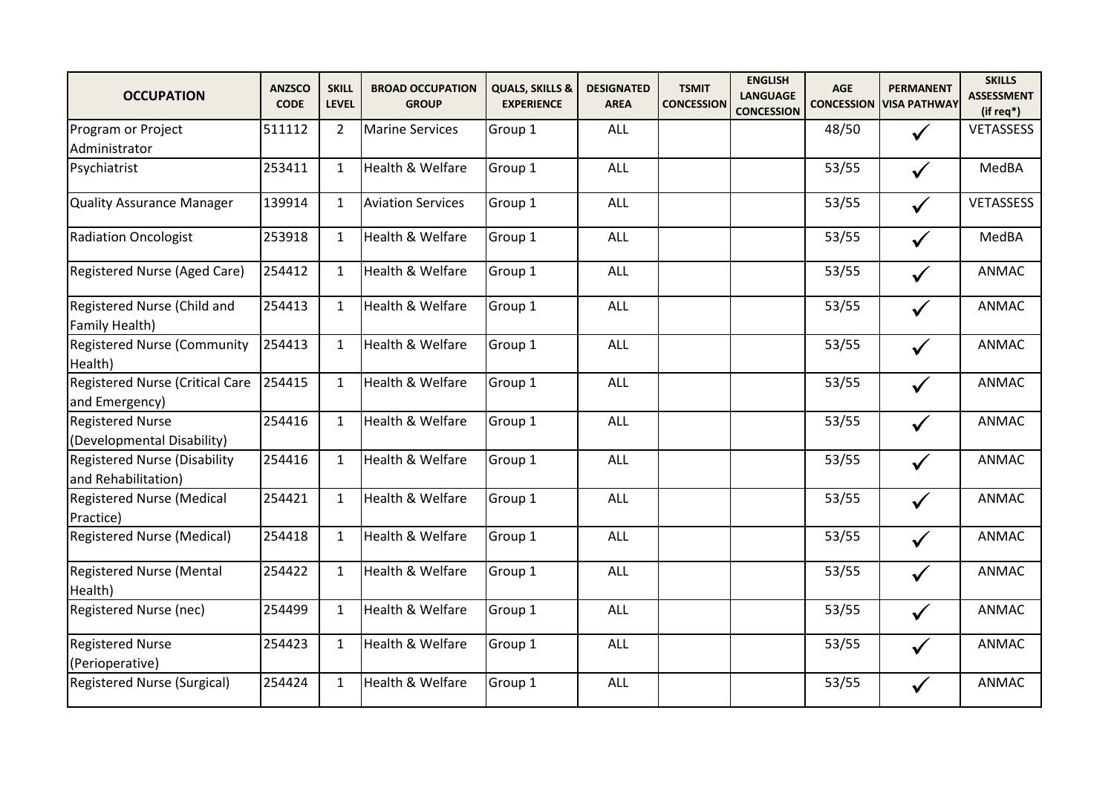| <b>OCCUPATION</b>                                          | <b>ANZSCO</b><br><b>CODE</b> | <b>SKILL</b><br><b>LEVEL</b> | <b>BROAD OCCUPATION</b><br><b>GROUP</b> | <b>QUALS, SKILLS &amp;</b><br><b>EXPERIENCE</b> | <b>DESIGNATED</b><br><b>AREA</b> | <b>TSMIT</b><br><b>CONCESSION</b> | <b>ENGLISH</b><br><b>LANGUAGE</b><br><b>CONCESSION</b> | AGE   | <b>PERMANENT</b><br><b>CONCESSION VISA PATHWAY</b> | <b>SKILLS</b><br><b>ASSESSMENT</b><br>$(ifreq*)$ |
|------------------------------------------------------------|------------------------------|------------------------------|-----------------------------------------|-------------------------------------------------|----------------------------------|-----------------------------------|--------------------------------------------------------|-------|----------------------------------------------------|--------------------------------------------------|
| Program or Project<br>Administrator                        | 511112                       | $\overline{2}$               | <b>Marine Services</b>                  | Group 1                                         | ALL                              |                                   |                                                        | 48/50 |                                                    | <b>VETASSESS</b>                                 |
| Psychiatrist                                               | 253411                       | $\mathbf{1}$                 | Health & Welfare                        | Group 1                                         | ALL                              |                                   |                                                        | 53/55 | $\checkmark$                                       | MedBA                                            |
| <b>Quality Assurance Manager</b>                           | 139914                       | $\mathbf{1}$                 | <b>Aviation Services</b>                | Group 1                                         | ALL                              |                                   |                                                        | 53/55 | $\checkmark$                                       | <b>VETASSESS</b>                                 |
| <b>Radiation Oncologist</b>                                | 253918                       | $\mathbf{1}$                 | Health & Welfare                        | Group 1                                         | ALL                              |                                   |                                                        | 53/55 | $\checkmark$                                       | MedBA                                            |
| Registered Nurse (Aged Care)                               | 254412                       | $\mathbf{1}$                 | Health & Welfare                        | Group 1                                         | ALL                              |                                   |                                                        | 53/55 | $\checkmark$                                       | <b>ANMAC</b>                                     |
| Registered Nurse (Child and<br>Family Health)              | 254413                       | $\mathbf{1}$                 | Health & Welfare                        | Group 1                                         | ALL                              |                                   |                                                        | 53/55 | $\checkmark$                                       | <b>ANMAC</b>                                     |
| <b>Registered Nurse (Community</b><br>Health)              | 254413                       | $\mathbf{1}$                 | <b>Health &amp; Welfare</b>             | Group 1                                         | ALL                              |                                   |                                                        | 53/55 | $\checkmark$                                       | ANMAC                                            |
| <b>Registered Nurse (Critical Care</b><br>and Emergency)   | 254415                       | $\mathbf{1}$                 | Health & Welfare                        | Group 1                                         | ALL                              |                                   |                                                        | 53/55 | $\checkmark$                                       | <b>ANMAC</b>                                     |
| <b>Registered Nurse</b><br>(Developmental Disability)      | 254416                       | $\mathbf{1}$                 | Health & Welfare                        | Group 1                                         | <b>ALL</b>                       |                                   |                                                        | 53/55 | $\checkmark$                                       | <b>ANMAC</b>                                     |
| <b>Registered Nurse (Disability</b><br>and Rehabilitation) | 254416                       | $\mathbf{1}$                 | Health & Welfare                        | Group 1                                         | ALL                              |                                   |                                                        | 53/55 | $\checkmark$                                       | <b>ANMAC</b>                                     |
| <b>Registered Nurse (Medical</b><br>Practice)              | 254421                       | $\mathbf{1}$                 | Health & Welfare                        | Group 1                                         | ALL                              |                                   |                                                        | 53/55 | $\checkmark$                                       | <b>ANMAC</b>                                     |
| <b>Registered Nurse (Medical)</b>                          | 254418                       | $\mathbf{1}$                 | Health & Welfare                        | Group 1                                         | ALL                              |                                   |                                                        | 53/55 | $\checkmark$                                       | <b>ANMAC</b>                                     |
| <b>Registered Nurse (Mental</b><br>Health)                 | 254422                       | $\mathbf{1}$                 | Health & Welfare                        | Group 1                                         | ALL                              |                                   |                                                        | 53/55 | $\checkmark$                                       | <b>ANMAC</b>                                     |
| Registered Nurse (nec)                                     | 254499                       | $\mathbf{1}$                 | Health & Welfare                        | Group 1                                         | ALL                              |                                   |                                                        | 53/55 | $\checkmark$                                       | ANMAC                                            |
| <b>Registered Nurse</b><br>(Perioperative)                 | 254423                       | $\mathbf{1}$                 | Health & Welfare                        | Group 1                                         | ALL                              |                                   |                                                        | 53/55 |                                                    | <b>ANMAC</b>                                     |
| <b>Registered Nurse (Surgical)</b>                         | 254424                       | $\mathbf{1}$                 | Health & Welfare                        | Group 1                                         | ALL                              |                                   |                                                        | 53/55 | $\checkmark$                                       | <b>ANMAC</b>                                     |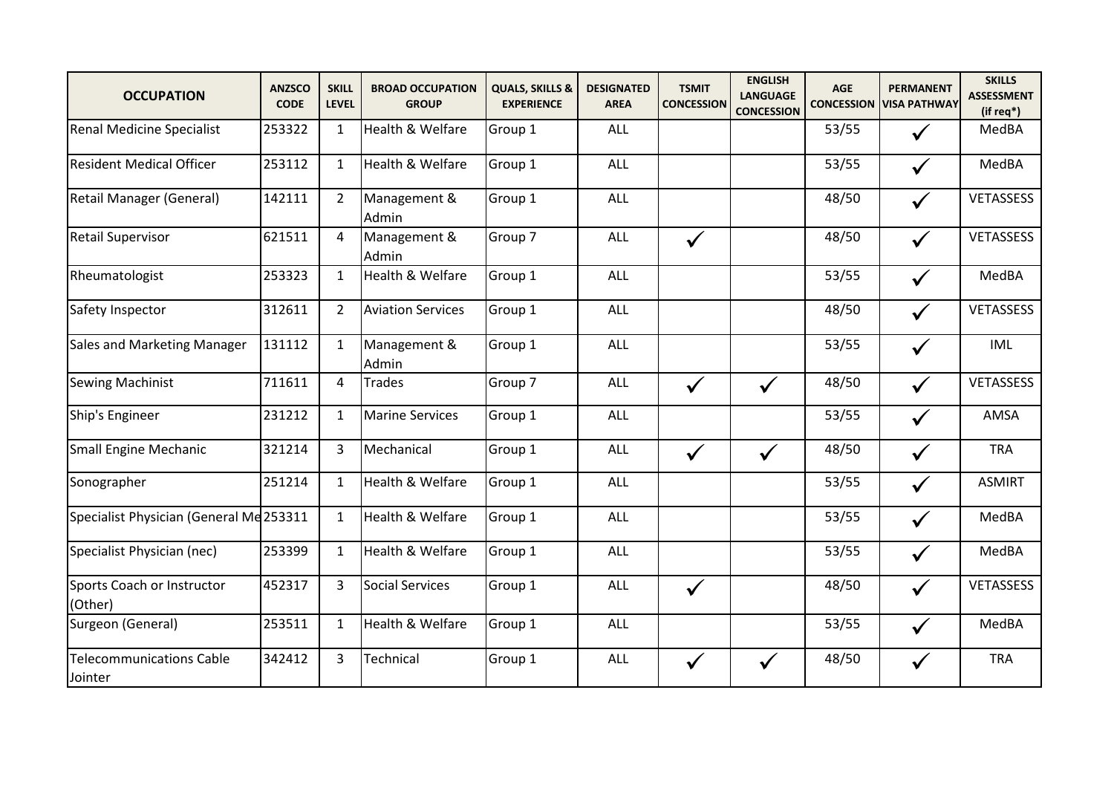| <b>OCCUPATION</b>                          | <b>ANZSCO</b><br><b>CODE</b> | <b>SKILL</b><br><b>LEVEL</b> | <b>BROAD OCCUPATION</b><br><b>GROUP</b> | <b>QUALS, SKILLS &amp;</b><br><b>EXPERIENCE</b> | <b>DESIGNATED</b><br><b>AREA</b> | <b>TSMIT</b><br><b>CONCESSION</b> | <b>ENGLISH</b><br><b>LANGUAGE</b><br><b>CONCESSION</b> | <b>AGE</b><br><b>CONCESSION</b> | <b>PERMANENT</b><br><b>VISA PATHWAY</b> | <b>SKILLS</b><br><b>ASSESSMENT</b><br>(if req*) |
|--------------------------------------------|------------------------------|------------------------------|-----------------------------------------|-------------------------------------------------|----------------------------------|-----------------------------------|--------------------------------------------------------|---------------------------------|-----------------------------------------|-------------------------------------------------|
| <b>Renal Medicine Specialist</b>           | 253322                       | $\mathbf{1}$                 | Health & Welfare                        | Group 1                                         | ALL                              |                                   |                                                        | 53/55                           | $\checkmark$                            | MedBA                                           |
| <b>Resident Medical Officer</b>            | 253112                       | $\mathbf{1}$                 | Health & Welfare                        | Group 1                                         | <b>ALL</b>                       |                                   |                                                        | 53/55                           | $\checkmark$                            | MedBA                                           |
| Retail Manager (General)                   | 142111                       | $\overline{2}$               | Management &<br>Admin                   | Group 1                                         | ALL                              |                                   |                                                        | 48/50                           | $\checkmark$                            | <b>VETASSESS</b>                                |
| <b>Retail Supervisor</b>                   | 621511                       | 4                            | Management &<br>Admin                   | Group 7                                         | ALL                              | $\checkmark$                      |                                                        | 48/50                           | $\checkmark$                            | VETASSESS                                       |
| Rheumatologist                             | 253323                       | $\mathbf{1}$                 | Health & Welfare                        | Group 1                                         | ALL                              |                                   |                                                        | 53/55                           | $\checkmark$                            | MedBA                                           |
| Safety Inspector                           | 312611                       | $\overline{2}$               | <b>Aviation Services</b>                | Group 1                                         | <b>ALL</b>                       |                                   |                                                        | 48/50                           | $\checkmark$                            | VETASSESS                                       |
| Sales and Marketing Manager                | 131112                       | $\mathbf{1}$                 | Management &<br>Admin                   | Group 1                                         | ALL                              |                                   |                                                        | 53/55                           | $\checkmark$                            | <b>IML</b>                                      |
| Sewing Machinist                           | 711611                       | 4                            | <b>Trades</b>                           | Group 7                                         | ALL                              | $\checkmark$                      | $\checkmark$                                           | 48/50                           | $\checkmark$                            | VETASSESS                                       |
| Ship's Engineer                            | 231212                       | $\mathbf{1}$                 | <b>Marine Services</b>                  | Group 1                                         | ALL                              |                                   |                                                        | 53/55                           | $\checkmark$                            | AMSA                                            |
| <b>Small Engine Mechanic</b>               | 321214                       | 3                            | Mechanical                              | Group 1                                         | ALL                              | $\checkmark$                      | $\checkmark$                                           | 48/50                           | $\checkmark$                            | <b>TRA</b>                                      |
| Sonographer                                | 251214                       | $\mathbf{1}$                 | Health & Welfare                        | Group 1                                         | <b>ALL</b>                       |                                   |                                                        | 53/55                           | $\checkmark$                            | <b>ASMIRT</b>                                   |
| Specialist Physician (General Me 253311    |                              | $\mathbf{1}$                 | Health & Welfare                        | Group 1                                         | ALL                              |                                   |                                                        | 53/55                           | $\checkmark$                            | MedBA                                           |
| Specialist Physician (nec)                 | 253399                       | $\mathbf{1}$                 | Health & Welfare                        | Group 1                                         | <b>ALL</b>                       |                                   |                                                        | 53/55                           | $\checkmark$                            | MedBA                                           |
| Sports Coach or Instructor<br>(Other)      | 452317                       | 3                            | <b>Social Services</b>                  | Group 1                                         | ALL                              | $\checkmark$                      |                                                        | 48/50                           | $\checkmark$                            | <b>VETASSESS</b>                                |
| Surgeon (General)                          | 253511                       | $\mathbf{1}$                 | Health & Welfare                        | Group 1                                         | ALL                              |                                   |                                                        | 53/55                           | $\checkmark$                            | MedBA                                           |
| <b>Telecommunications Cable</b><br>Jointer | 342412                       | 3                            | Technical                               | Group 1                                         | ALL                              | $\checkmark$                      | $\checkmark$                                           | 48/50                           | $\checkmark$                            | <b>TRA</b>                                      |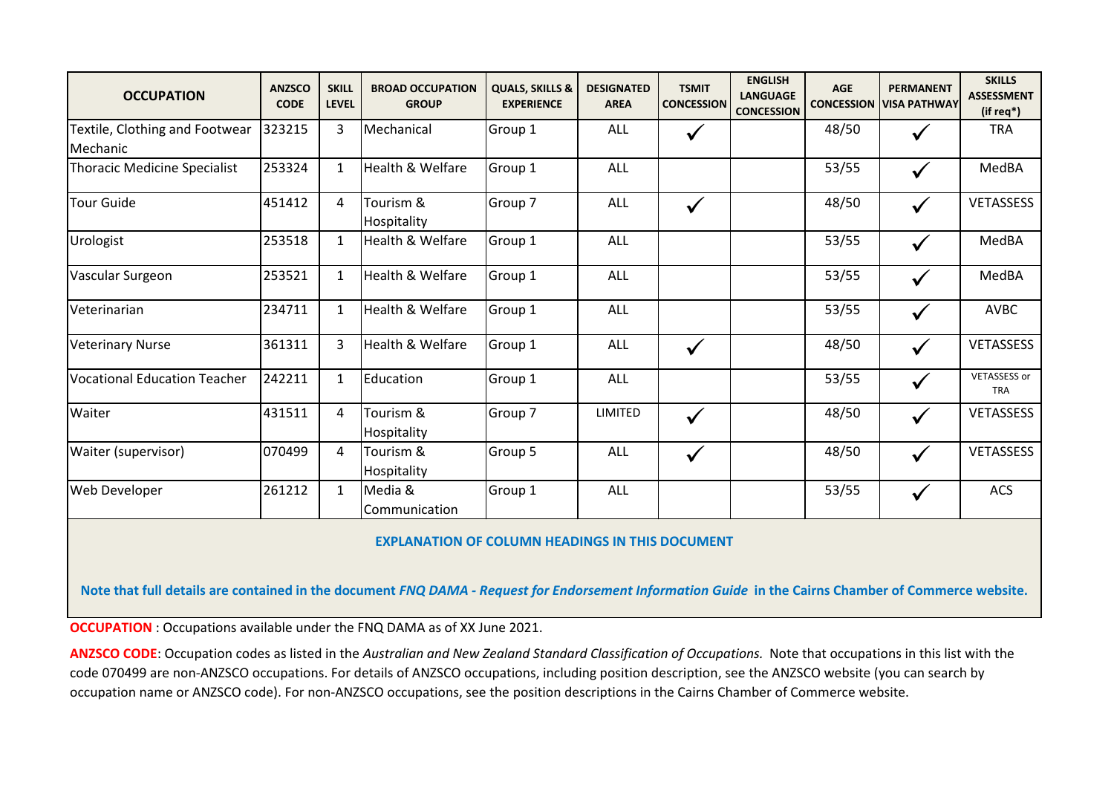| <b>OCCUPATION</b>                          | <b>ANZSCO</b><br><b>CODE</b> | <b>SKILL</b><br><b>LEVEL</b> | <b>BROAD OCCUPATION</b><br><b>GROUP</b> | <b>QUALS, SKILLS &amp;</b><br><b>EXPERIENCE</b> | <b>DESIGNATED</b><br><b>AREA</b> | <b>TSMIT</b><br><b>CONCESSION</b> | <b>ENGLISH</b><br><b>LANGUAGE</b><br><b>CONCESSION</b> | <b>AGE</b><br><b>CONCESSION</b> | <b>PERMANENT</b><br><b>VISA PATHWAY</b> | <b>SKILLS</b><br><b>ASSESSMENT</b><br>(if req*) |
|--------------------------------------------|------------------------------|------------------------------|-----------------------------------------|-------------------------------------------------|----------------------------------|-----------------------------------|--------------------------------------------------------|---------------------------------|-----------------------------------------|-------------------------------------------------|
| Textile, Clothing and Footwear<br>Mechanic | 323215                       | 3                            | Mechanical                              | Group 1                                         | ALL                              | $\checkmark$                      |                                                        | 48/50                           | $\checkmark$                            | <b>TRA</b>                                      |
| Thoracic Medicine Specialist               | 253324                       | $\mathbf{1}$                 | Health & Welfare                        | Group 1                                         | ALL                              |                                   |                                                        | 53/55                           | $\checkmark$                            | MedBA                                           |
| <b>Tour Guide</b>                          | 451412                       | 4                            | Tourism &<br>Hospitality                | Group 7                                         | ALL                              | $\checkmark$                      |                                                        | 48/50                           | $\checkmark$                            | <b>VETASSESS</b>                                |
| Urologist                                  | 253518                       | $\mathbf{1}$                 | Health & Welfare                        | Group 1                                         | ALL                              |                                   |                                                        | 53/55                           | $\checkmark$                            | MedBA                                           |
| Vascular Surgeon                           | 253521                       | $\mathbf{1}$                 | Health & Welfare                        | Group 1                                         | ALL                              |                                   |                                                        | 53/55                           | $\checkmark$                            | MedBA                                           |
| Veterinarian                               | 234711                       | $\mathbf{1}$                 | Health & Welfare                        | Group 1                                         | <b>ALL</b>                       |                                   |                                                        | 53/55                           | $\checkmark$                            | AVBC                                            |
| <b>Veterinary Nurse</b>                    | 361311                       | 3                            | <b>Health &amp; Welfare</b>             | Group 1                                         | <b>ALL</b>                       | $\checkmark$                      |                                                        | 48/50                           | $\checkmark$                            | <b>VETASSESS</b>                                |
| <b>Vocational Education Teacher</b>        | 242211                       | $\mathbf{1}$                 | Education                               | Group 1                                         | ALL                              |                                   |                                                        | 53/55                           | $\checkmark$                            | <b>VETASSESS or</b><br><b>TRA</b>               |
| Waiter                                     | 431511                       | 4                            | Tourism &<br>Hospitality                | Group 7                                         | LIMITED                          | $\checkmark$                      |                                                        | 48/50                           | $\checkmark$                            | <b>VETASSESS</b>                                |
| Waiter (supervisor)                        | 070499                       | 4                            | Tourism &<br>Hospitality                | Group 5                                         | ALL                              | $\checkmark$                      |                                                        | 48/50                           | $\checkmark$                            | <b>VETASSESS</b>                                |
| Web Developer                              | 261212                       | $\mathbf{1}$                 | Media &<br>Communication                | Group 1                                         | ALL                              |                                   |                                                        | 53/55                           | $\checkmark$                            | ACS                                             |

## **EXPLANATION OF COLUMN HEADINGS IN THIS DOCUMENT**

**Note that full details are contained in the document** *FNQ DAMA - Request for Endorsement Information Guide* **in the Cairns Chamber of Commerce website.**

**OCCUPATION**: Occupations available under the FNQ DAMA as of XX June 2021.

**ANZSCO CODE**: Occupation codes as listed in the *Australian and New Zealand Standard Classification of Occupations.* Note that occupations in this list with the code 070499 are non-ANZSCO occupations. For details of ANZSCO occupations, including position description, see the ANZSCO website (you can search by occupation name or ANZSCO code). For non-ANZSCO occupations, see the position descriptions in the Cairns Chamber of Commerce website.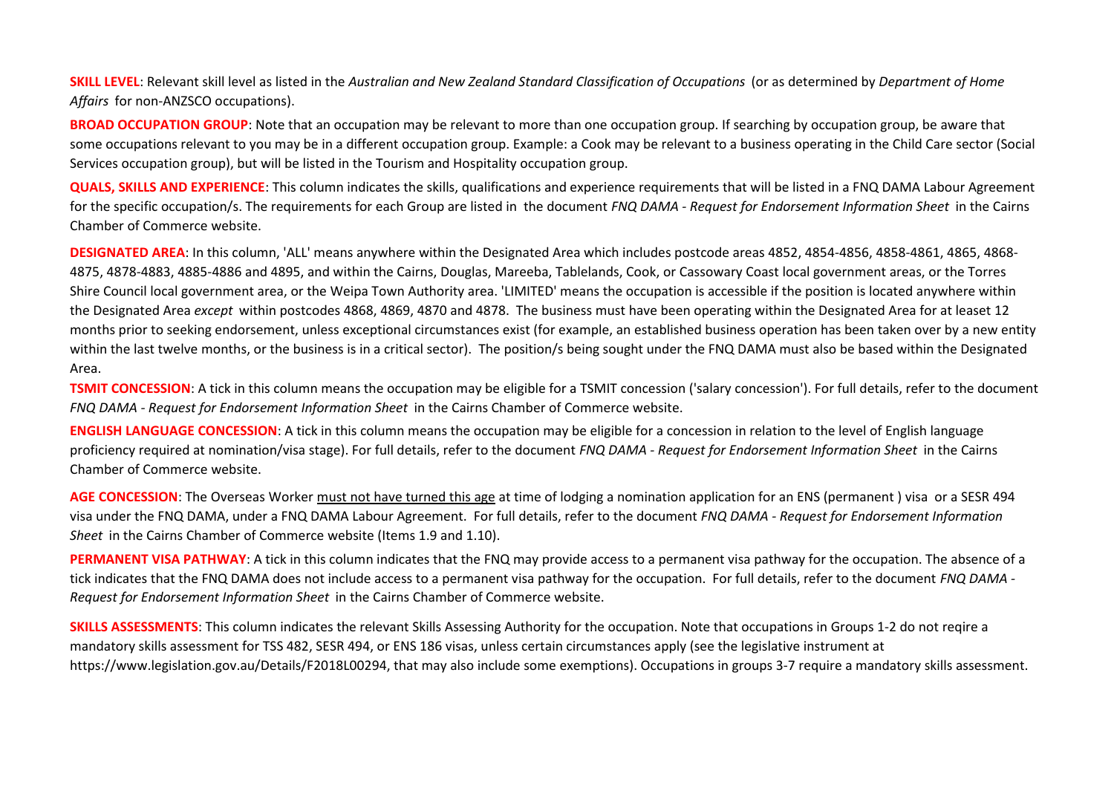**SKILL LEVEL**: Relevant skill level as listed in the *Australian and New Zealand Standard Classification of Occupations* (or as determined by *Department of Home Affairs* for non-ANZSCO occupations).

**BROAD OCCUPATION GROUP**: Note that an occupation may be relevant to more than one occupation group. If searching by occupation group, be aware that some occupations relevant to you may be in a different occupation group. Example: a Cook may be relevant to a business operating in the Child Care sector (Social Services occupation group), but will be listed in the Tourism and Hospitality occupation group.

**QUALS, SKILLS AND EXPERIENCE**: This column indicates the skills, qualifications and experience requirements that will be listed in a FNQ DAMA Labour Agreement for the specific occupation/s. The requirements for each Group are listed in the document *FNQ DAMA - Request for Endorsement Information Sheet* in the Cairns Chamber of Commerce website.

**DESIGNATED AREA**: In this column, 'ALL' means anywhere within the Designated Area which includes postcode areas 4852, 4854-4856, 4858-4861, 4865, 4868- 4875, 4878-4883, 4885-4886 and 4895, and within the Cairns, Douglas, Mareeba, Tablelands, Cook, or Cassowary Coast local government areas, or the Torres Shire Council local government area, or the Weipa Town Authority area. 'LIMITED' means the occupation is accessible if the position is located anywhere within the Designated Area *except* within postcodes 4868, 4869, 4870 and 4878. The business must have been operating within the Designated Area for at leaset 12 months prior to seeking endorsement, unless exceptional circumstances exist (for example, an established business operation has been taken over by a new entity within the last twelve months, or the business is in a critical sector). The position/s being sought under the FNQ DAMA must also be based within the Designated Area.

**TSMIT CONCESSION:** A tick in this column means the occupation may be eligible for a TSMIT concession ('salary concession'). For full details, refer to the document *FNQ DAMA - Request for Endorsement Information Sheet* in the Cairns Chamber of Commerce website.

**ENGLISH LANGUAGE CONCESSION**: A tick in this column means the occupation may be eligible for a concession in relation to the level of English language proficiency required at nomination/visa stage). For full details, refer to the document *FNQ DAMA - Request for Endorsement Information Sheet* in the Cairns Chamber of Commerce website.

**AGE CONCESSION**: The Overseas Worker must not have turned this age at time of lodging a nomination application for an ENS (permanent ) visa or a SESR 494 visa under the FNQ DAMA, under a FNQ DAMA Labour Agreement. For full details, refer to the document *FNQ DAMA - Request for Endorsement Information Sheet* in the Cairns Chamber of Commerce website (Items 1.9 and 1.10).

**PERMANENT VISA PATHWAY**: A tick in this column indicates that the FNQ may provide access to a permanent visa pathway for the occupation. The absence of a tick indicates that the FNQ DAMA does not include access to a permanent visa pathway for the occupation. For full details, refer to the document *FNQ DAMA - Request for Endorsement Information Sheet* in the Cairns Chamber of Commerce website.

**SKILLS ASSESSMENTS**: This column indicates the relevant Skills Assessing Authority for the occupation. Note that occupations in Groups 1-2 do not reqire a mandatory skills assessment for TSS 482, SESR 494, or ENS 186 visas, unless certain circumstances apply (see the legislative instrument at https://www.legislation.gov.au/Details/F2018L00294, that may also include some exemptions). Occupations in groups 3-7 require a mandatory skills assessment.